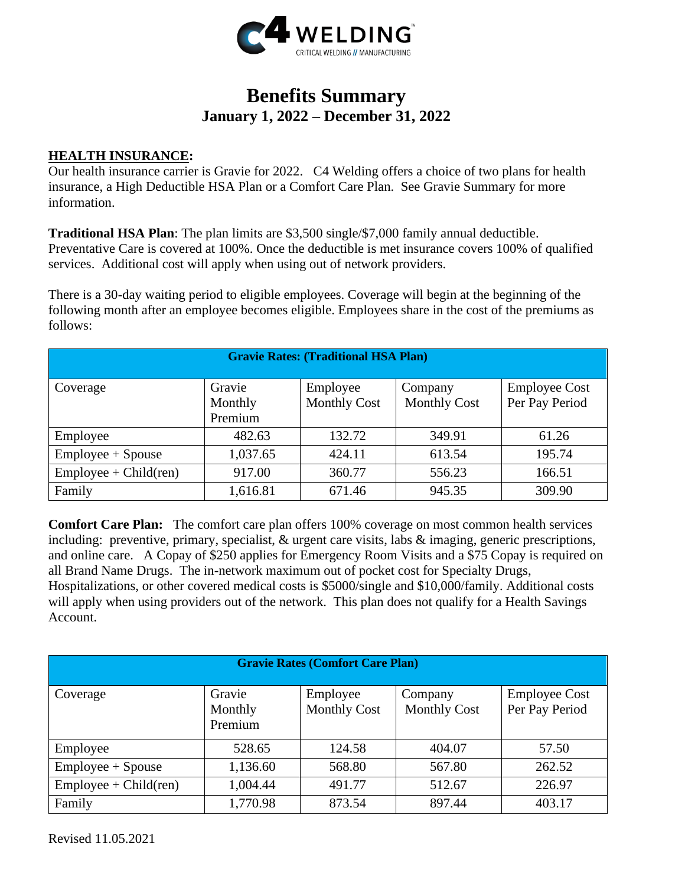

# **Benefits Summary January 1, 2022 – December 31, 2022**

#### **HEALTH INSURANCE:**

Our health insurance carrier is Gravie for 2022. C4 Welding offers a choice of two plans for health insurance, a High Deductible HSA Plan or a Comfort Care Plan. See Gravie Summary for more information.

**Traditional HSA Plan**: The plan limits are \$3,500 single/\$7,000 family annual deductible. Preventative Care is covered at 100%. Once the deductible is met insurance covers 100% of qualified services. Additional cost will apply when using out of network providers.

There is a 30-day waiting period to eligible employees. Coverage will begin at the beginning of the following month after an employee becomes eligible. Employees share in the cost of the premiums as follows:

| <b>Gravie Rates: (Traditional HSA Plan)</b> |                              |                                 |                                |                                        |  |  |
|---------------------------------------------|------------------------------|---------------------------------|--------------------------------|----------------------------------------|--|--|
| Coverage                                    | Gravie<br>Monthly<br>Premium | Employee<br><b>Monthly Cost</b> | Company<br><b>Monthly Cost</b> | <b>Employee Cost</b><br>Per Pay Period |  |  |
| Employee                                    | 482.63                       | 132.72                          | 349.91                         | 61.26                                  |  |  |
| $Employee + Spouse$                         | 1,037.65                     | 424.11                          | 613.54                         | 195.74                                 |  |  |
| $Employee + Child (ren)$                    | 917.00                       | 360.77                          | 556.23                         | 166.51                                 |  |  |
| Family                                      | 1,616.81                     | 671.46                          | 945.35                         | 309.90                                 |  |  |

**Comfort Care Plan:** The comfort care plan offers 100% coverage on most common health services including: preventive, primary, specialist, & urgent care visits, labs & imaging, generic prescriptions, and online care. A Copay of \$250 applies for Emergency Room Visits and a \$75 Copay is required on all Brand Name Drugs. The in-network maximum out of pocket cost for Specialty Drugs, Hospitalizations, or other covered medical costs is \$5000/single and \$10,000/family. Additional costs will apply when using providers out of the network. This plan does not qualify for a Health Savings Account.

| <b>Gravie Rates (Comfort Care Plan)</b> |                              |                                 |                                |                                        |  |  |
|-----------------------------------------|------------------------------|---------------------------------|--------------------------------|----------------------------------------|--|--|
| Coverage                                | Gravie<br>Monthly<br>Premium | Employee<br><b>Monthly Cost</b> | Company<br><b>Monthly Cost</b> | <b>Employee Cost</b><br>Per Pay Period |  |  |
| Employee                                | 528.65                       | 124.58                          | 404.07                         | 57.50                                  |  |  |
| $Employee + Spouse$                     | 1,136.60                     | 568.80                          | 567.80                         | 262.52                                 |  |  |
| $Employee + Child (ren)$                | 1,004.44                     | 491.77                          | 512.67                         | 226.97                                 |  |  |
| Family                                  | 1,770.98                     | 873.54                          | 897.44                         | 403.17                                 |  |  |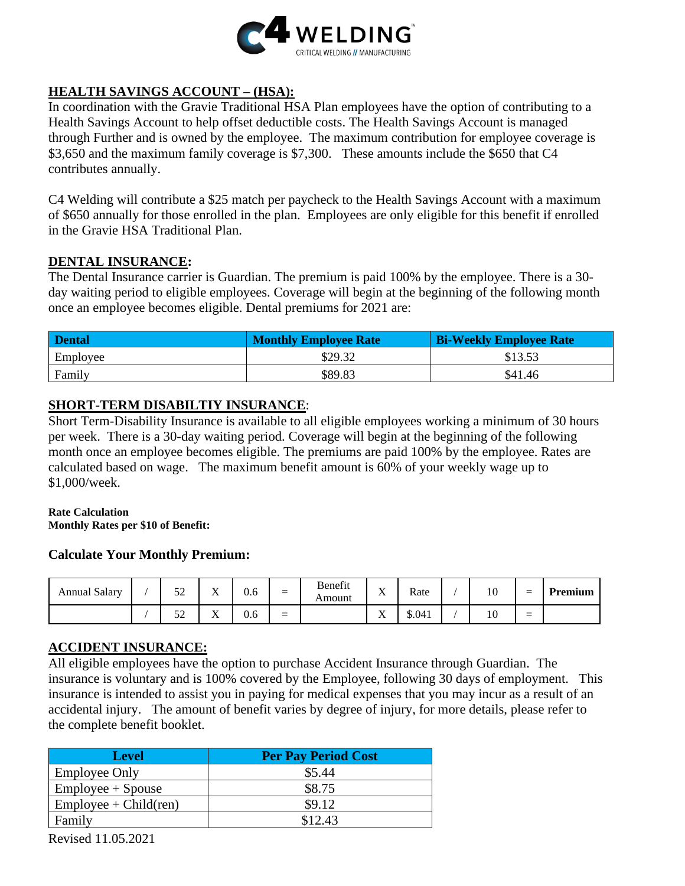

# **HEALTH SAVINGS ACCOUNT – (HSA):**

In coordination with the Gravie Traditional HSA Plan employees have the option of contributing to a Health Savings Account to help offset deductible costs. The Health Savings Account is managed through Further and is owned by the employee. The maximum contribution for employee coverage is \$3,650 and the maximum family coverage is \$7,300. These amounts include the \$650 that C4 contributes annually.

C4 Welding will contribute a \$25 match per paycheck to the Health Savings Account with a maximum of \$650 annually for those enrolled in the plan. Employees are only eligible for this benefit if enrolled in the Gravie HSA Traditional Plan.

#### **DENTAL INSURANCE:**

The Dental Insurance carrier is Guardian. The premium is paid 100% by the employee. There is a 30 day waiting period to eligible employees. Coverage will begin at the beginning of the following month once an employee becomes eligible. Dental premiums for 2021 are:

| <b>Dental</b> | <b>Monthly Employee Rate</b> | <b>Bi-Weekly Employee Rate</b> |
|---------------|------------------------------|--------------------------------|
| Employee      | \$29.32                      | \$13.53                        |
| Family        | \$89.83                      | \$41.46                        |

### **SHORT-TERM DISABILTIY INSURANCE**:

Short Term-Disability Insurance is available to all eligible employees working a minimum of 30 hours per week. There is a 30-day waiting period. Coverage will begin at the beginning of the following month once an employee becomes eligible. The premiums are paid 100% by the employee. Rates are calculated based on wage. The maximum benefit amount is 60% of your weekly wage up to \$1,000/week.

#### **Rate Calculation**

**Monthly Rates per \$10 of Benefit:**

#### **Calculate Your Monthly Premium:**

| <b>Annual Salary</b> | $\epsilon$<br>ັ້ | $\mathbf{v}$<br>77 | $\sim$<br>U.O | $\qquad \qquad -$<br>–        | Benefit<br>Amount | $\mathbf{x}$<br>$\Lambda$ | Rate   | 10 | - | Premium |
|----------------------|------------------|--------------------|---------------|-------------------------------|-------------------|---------------------------|--------|----|---|---------|
|                      | Ε٥<br>ىدر        | $\mathbf{v}$<br>77 | U.O           | $\overline{\phantom{m}}$<br>– |                   | <b>x</b> y<br>$\Lambda$   | \$.041 | 10 | – |         |

#### **ACCIDENT INSURANCE:**

All eligible employees have the option to purchase Accident Insurance through Guardian. The insurance is voluntary and is 100% covered by the Employee, following 30 days of employment. This insurance is intended to assist you in paying for medical expenses that you may incur as a result of an accidental injury. The amount of benefit varies by degree of injury, for more details, please refer to the complete benefit booklet.

| <b>Level</b>             | <b>Per Pay Period Cost</b> |
|--------------------------|----------------------------|
| <b>Employee Only</b>     | \$5.44                     |
| $Employee + Spouse$      | \$8.75                     |
| $Employee + Child (ren)$ | \$9.12                     |
| Family                   | \$12.43                    |

Revised 11.05.2021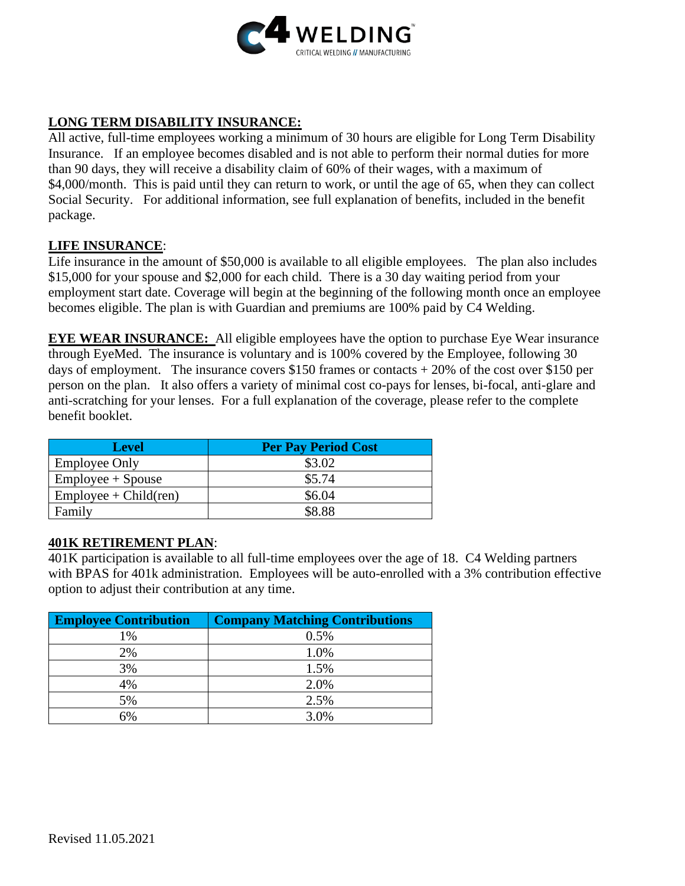

# **LONG TERM DISABILITY INSURANCE:**

All active, full-time employees working a minimum of 30 hours are eligible for Long Term Disability Insurance. If an employee becomes disabled and is not able to perform their normal duties for more than 90 days, they will receive a disability claim of 60% of their wages, with a maximum of \$4,000/month. This is paid until they can return to work, or until the age of 65, when they can collect Social Security. For additional information, see full explanation of benefits, included in the benefit package.

#### **LIFE INSURANCE**:

Life insurance in the amount of \$50,000 is available to all eligible employees. The plan also includes \$15,000 for your spouse and \$2,000 for each child. There is a 30 day waiting period from your employment start date. Coverage will begin at the beginning of the following month once an employee becomes eligible. The plan is with Guardian and premiums are 100% paid by C4 Welding.

**EYE WEAR INSURANCE:** All eligible employees have the option to purchase Eye Wear insurance through EyeMed. The insurance is voluntary and is 100% covered by the Employee, following 30 days of employment. The insurance covers \$150 frames or contacts  $+20\%$  of the cost over \$150 per person on the plan. It also offers a variety of minimal cost co-pays for lenses, bi-focal, anti-glare and anti-scratching for your lenses. For a full explanation of the coverage, please refer to the complete benefit booklet.

| <b>Level</b>             | <b>Per Pay Period Cost</b> |
|--------------------------|----------------------------|
| <b>Employee Only</b>     | \$3.02                     |
| $Employee + Spouse$      | \$5.74                     |
| $Employee + Child (ren)$ | \$6.04                     |
| Family                   | SS 88                      |

#### **401K RETIREMENT PLAN**:

401K participation is available to all full-time employees over the age of 18. C4 Welding partners with BPAS for 401k administration. Employees will be auto-enrolled with a 3% contribution effective option to adjust their contribution at any time.

| <b>Employee Contribution</b> | <b>Company Matching Contributions</b> |
|------------------------------|---------------------------------------|
| 1%                           | 0.5%                                  |
| 2%                           | 1.0%                                  |
| 3%                           | 1.5%                                  |
| 4%                           | 2.0%                                  |
| 5%                           | 2.5%                                  |
| 6%                           | 3.0%                                  |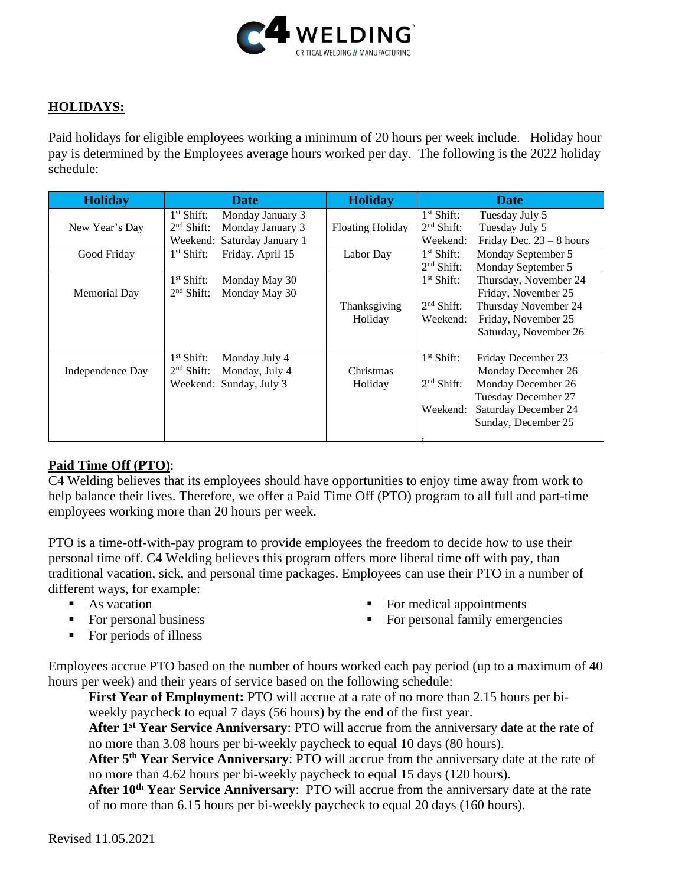

## **HOLIDAYS:**

Paid holidays for eligible employees working a minimum of 20 hours per week include. Holiday hour pay is determined by the Employees average hours worked per day. The following is the 2022 holiday schedule:

| <b>Holiday</b>   | <b>Date</b>                      | <b>Holiday</b>          | <b>Date</b>                            |
|------------------|----------------------------------|-------------------------|----------------------------------------|
|                  | $1st$ Shift:<br>Monday January 3 |                         | $1st$ Shift:<br>Tuesday July 5         |
| New Year's Day   | $2nd$ Shift:<br>Monday January 3 | <b>Floating Holiday</b> | $2nd$ Shift:<br>Tuesday July 5         |
|                  | Weekend: Saturday January 1      |                         | Weekend:<br>Friday Dec. $23 - 8$ hours |
| Good Friday      | Friday. April 15<br>$1st$ Shift: | Labor Day               | $1st$ Shift:<br>Monday September 5     |
|                  |                                  |                         | $2nd$ Shift:<br>Monday September 5     |
|                  | $1st$ Shift:<br>Monday May 30    |                         | $1st$ Shift:<br>Thursday, November 24  |
| Memorial Day     | $2nd$ Shift:<br>Monday May 30    |                         | Friday, November 25                    |
|                  |                                  | Thanksgiving            | $2nd$ Shift:<br>Thursday November 24   |
|                  |                                  | Holiday                 | Friday, November 25<br>Weekend:        |
|                  |                                  |                         | Saturday, November 26                  |
|                  |                                  |                         |                                        |
|                  | $1st$ Shift:<br>Monday July 4    |                         | $1st$ Shift:<br>Friday December 23     |
| Independence Day | Monday, July 4<br>$2nd$ Shift:   | Christmas               | Monday December 26                     |
|                  | Weekend: Sunday, July 3          | Holiday                 | $2nd$ Shift:<br>Monday December 26     |
|                  |                                  |                         | Tuesday December 27                    |
|                  |                                  |                         | Saturday December 24<br>Weekend:       |
|                  |                                  |                         | Sunday, December 25                    |
|                  |                                  |                         |                                        |

#### **Paid Time Off (PTO)**:

C4 Welding believes that its employees should have opportunities to enjoy time away from work to help balance their lives. Therefore, we offer a Paid Time Off (PTO) program to all full and part-time employees working more than 20 hours per week.

PTO is a time-off-with-pay program to provide employees the freedom to decide how to use their personal time off. C4 Welding believes this program offers more liberal time off with pay, than traditional vacation, sick, and personal time packages. Employees can use their PTO in a number of different ways, for example:

- $\blacksquare$  As vacation
- For personal business

■ For medical appointments ■ For personal family emergencies

■ For periods of illness

Employees accrue PTO based on the number of hours worked each pay period (up to a maximum of 40 hours per week) and their years of service based on the following schedule:

**First Year of Employment:** PTO will accrue at a rate of no more than 2.15 hours per biweekly paycheck to equal 7 days (56 hours) by the end of the first year.

**After 1st Year Service Anniversary**: PTO will accrue from the anniversary date at the rate of no more than 3.08 hours per bi-weekly paycheck to equal 10 days (80 hours).

**After 5th Year Service Anniversary**: PTO will accrue from the anniversary date at the rate of no more than 4.62 hours per bi-weekly paycheck to equal 15 days (120 hours).

**After 10th Year Service Anniversary**: PTO will accrue from the anniversary date at the rate of no more than 6.15 hours per bi-weekly paycheck to equal 20 days (160 hours).